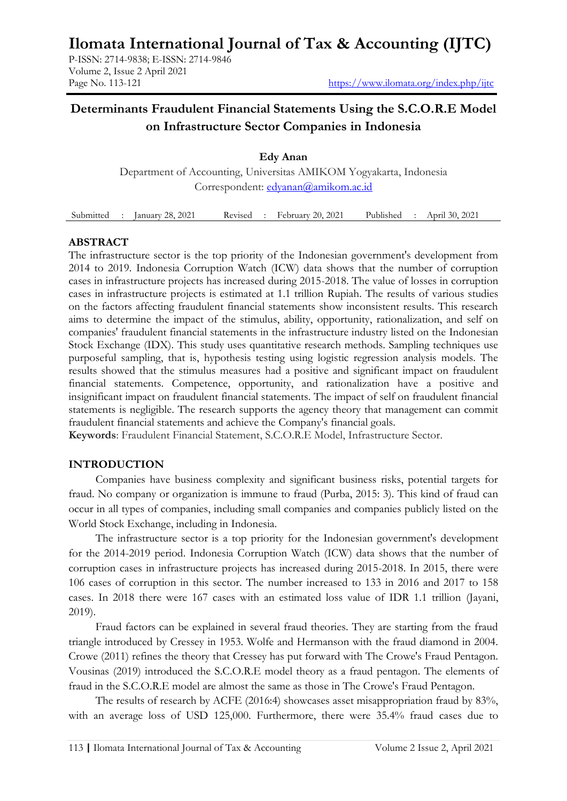# **Ilomata International Journal of Tax & Accounting (IJTC)**

P-ISSN: 2714-9838; E-ISSN: 2714-9846 Volume 2, Issue 2 April 2021

# **Determinants Fraudulent Financial Statements Using the S.C.O.R.E Model on Infrastructure Sector Companies in Indonesia**

**Edy Anan** Department of Accounting, Universitas AMIKOM Yogyakarta, Indonesia Correspondent: [edyanan@amikom.ac.id](mailto:edyanan@amikom.ac.id)

Submitted : January 28, 2021 Revised : February 20, 2021 Published : April 30, 2021

### **ABSTRACT**

The infrastructure sector is the top priority of the Indonesian government's development from 2014 to 2019. Indonesia Corruption Watch (ICW) data shows that the number of corruption cases in infrastructure projects has increased during 2015-2018. The value of losses in corruption cases in infrastructure projects is estimated at 1.1 trillion Rupiah. The results of various studies on the factors affecting fraudulent financial statements show inconsistent results. This research aims to determine the impact of the stimulus, ability, opportunity, rationalization, and self on companies' fraudulent financial statements in the infrastructure industry listed on the Indonesian Stock Exchange (IDX). This study uses quantitative research methods. Sampling techniques use purposeful sampling, that is, hypothesis testing using logistic regression analysis models. The results showed that the stimulus measures had a positive and significant impact on fraudulent financial statements. Competence, opportunity, and rationalization have a positive and insignificant impact on fraudulent financial statements. The impact of self on fraudulent financial statements is negligible. The research supports the agency theory that management can commit fraudulent financial statements and achieve the Company's financial goals.

**Keywords**: Fraudulent Financial Statement, S.C.O.R.E Model, Infrastructure Sector.

# **INTRODUCTION**

Companies have business complexity and significant business risks, potential targets for fraud. No company or organization is immune to fraud (Purba, 2015: 3). This kind of fraud can occur in all types of companies, including small companies and companies publicly listed on the World Stock Exchange, including in Indonesia.

The infrastructure sector is a top priority for the Indonesian government's development for the 2014-2019 period. Indonesia Corruption Watch (ICW) data shows that the number of corruption cases in infrastructure projects has increased during 2015-2018. In 2015, there were 106 cases of corruption in this sector. The number increased to 133 in 2016 and 2017 to 158 cases. In 2018 there were 167 cases with an estimated loss value of IDR 1.1 trillion (Jayani, 2019).

Fraud factors can be explained in several fraud theories. They are starting from the fraud triangle introduced by Cressey in 1953. Wolfe and Hermanson with the fraud diamond in 2004. Crowe (2011) refines the theory that Cressey has put forward with The Crowe's Fraud Pentagon. Vousinas (2019) introduced the S.C.O.R.E model theory as a fraud pentagon. The elements of fraud in the S.C.O.R.E model are almost the same as those in The Crowe's Fraud Pentagon.

The results of research by ACFE (2016:4) showcases asset misappropriation fraud by 83%, with an average loss of USD 125,000. Furthermore, there were 35.4% fraud cases due to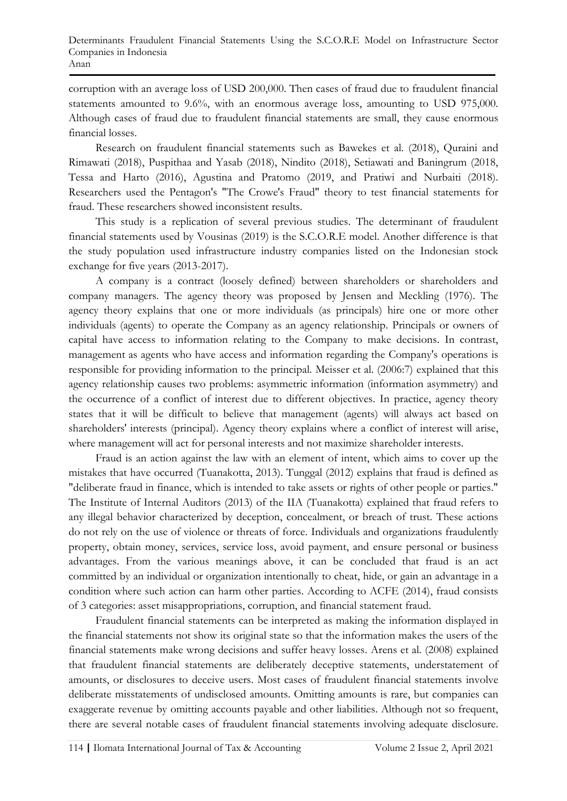corruption with an average loss of USD 200,000. Then cases of fraud due to fraudulent financial statements amounted to 9.6%, with an enormous average loss, amounting to USD 975,000. Although cases of fraud due to fraudulent financial statements are small, they cause enormous financial losses.

Research on fraudulent financial statements such as Bawekes et al. (2018), Quraini and Rimawati (2018), Puspithaa and Yasab (2018), Nindito (2018), Setiawati and Baningrum (2018, Tessa and Harto (2016), Agustina and Pratomo (2019, and Pratiwi and Nurbaiti (2018). Researchers used the Pentagon's "The Crowe's Fraud" theory to test financial statements for fraud. These researchers showed inconsistent results.

This study is a replication of several previous studies. The determinant of fraudulent financial statements used by Vousinas (2019) is the S.C.O.R.E model. Another difference is that the study population used infrastructure industry companies listed on the Indonesian stock exchange for five years (2013-2017).

A company is a contract (loosely defined) between shareholders or shareholders and company managers. The agency theory was proposed by Jensen and Meckling (1976). The agency theory explains that one or more individuals (as principals) hire one or more other individuals (agents) to operate the Company as an agency relationship. Principals or owners of capital have access to information relating to the Company to make decisions. In contrast, management as agents who have access and information regarding the Company's operations is responsible for providing information to the principal. Meisser et al. (2006:7) explained that this agency relationship causes two problems: asymmetric information (information asymmetry) and the occurrence of a conflict of interest due to different objectives. In practice, agency theory states that it will be difficult to believe that management (agents) will always act based on shareholders' interests (principal). Agency theory explains where a conflict of interest will arise, where management will act for personal interests and not maximize shareholder interests.

Fraud is an action against the law with an element of intent, which aims to cover up the mistakes that have occurred (Tuanakotta, 2013). Tunggal (2012) explains that fraud is defined as "deliberate fraud in finance, which is intended to take assets or rights of other people or parties." The Institute of Internal Auditors (2013) of the IIA (Tuanakotta) explained that fraud refers to any illegal behavior characterized by deception, concealment, or breach of trust. These actions do not rely on the use of violence or threats of force. Individuals and organizations fraudulently property, obtain money, services, service loss, avoid payment, and ensure personal or business advantages. From the various meanings above, it can be concluded that fraud is an act committed by an individual or organization intentionally to cheat, hide, or gain an advantage in a condition where such action can harm other parties. According to ACFE (2014), fraud consists of 3 categories: asset misappropriations, corruption, and financial statement fraud.

Fraudulent financial statements can be interpreted as making the information displayed in the financial statements not show its original state so that the information makes the users of the financial statements make wrong decisions and suffer heavy losses. Arens et al. (2008) explained that fraudulent financial statements are deliberately deceptive statements, understatement of amounts, or disclosures to deceive users. Most cases of fraudulent financial statements involve deliberate misstatements of undisclosed amounts. Omitting amounts is rare, but companies can exaggerate revenue by omitting accounts payable and other liabilities. Although not so frequent, there are several notable cases of fraudulent financial statements involving adequate disclosure.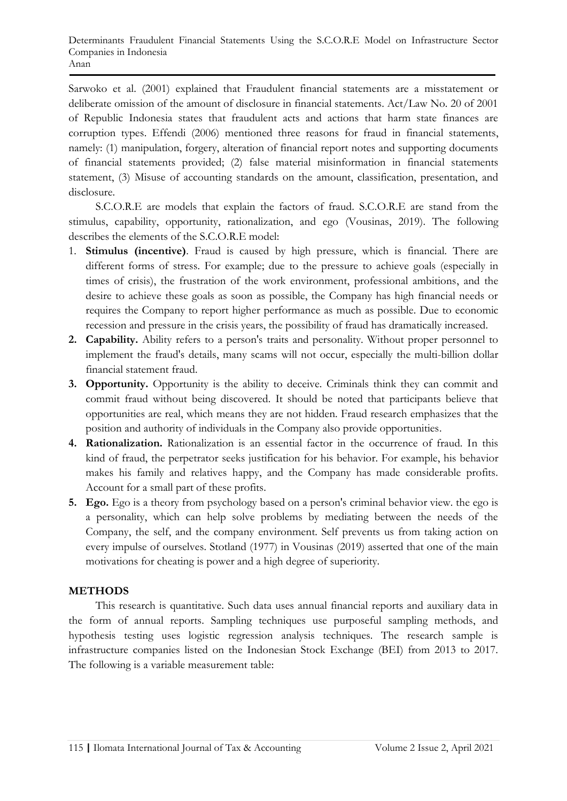Sarwoko et al. (2001) explained that Fraudulent financial statements are a misstatement or deliberate omission of the amount of disclosure in financial statements. Act/Law No. 20 of 2001 of Republic Indonesia states that fraudulent acts and actions that harm state finances are corruption types. Effendi (2006) mentioned three reasons for fraud in financial statements, namely: (1) manipulation, forgery, alteration of financial report notes and supporting documents of financial statements provided; (2) false material misinformation in financial statements statement, (3) Misuse of accounting standards on the amount, classification, presentation, and disclosure.

S.C.O.R.E are models that explain the factors of fraud. S.C.O.R.E are stand from the stimulus, capability, opportunity, rationalization, and ego (Vousinas, 2019). The following describes the elements of the S.C.O.R.E model:

- 1. **Stimulus (incentive)**. Fraud is caused by high pressure, which is financial. There are different forms of stress. For example; due to the pressure to achieve goals (especially in times of crisis), the frustration of the work environment, professional ambitions, and the desire to achieve these goals as soon as possible, the Company has high financial needs or requires the Company to report higher performance as much as possible. Due to economic recession and pressure in the crisis years, the possibility of fraud has dramatically increased.
- **2. Capability.** Ability refers to a person's traits and personality. Without proper personnel to implement the fraud's details, many scams will not occur, especially the multi-billion dollar financial statement fraud.
- **3. Opportunity.** Opportunity is the ability to deceive. Criminals think they can commit and commit fraud without being discovered. It should be noted that participants believe that opportunities are real, which means they are not hidden. Fraud research emphasizes that the position and authority of individuals in the Company also provide opportunities.
- **4. Rationalization.** Rationalization is an essential factor in the occurrence of fraud. In this kind of fraud, the perpetrator seeks justification for his behavior. For example, his behavior makes his family and relatives happy, and the Company has made considerable profits. Account for a small part of these profits.
- **5. Ego.** Ego is a theory from psychology based on a person's criminal behavior view. the ego is a personality, which can help solve problems by mediating between the needs of the Company, the self, and the company environment. Self prevents us from taking action on every impulse of ourselves. Stotland (1977) in Vousinas (2019) asserted that one of the main motivations for cheating is power and a high degree of superiority.

# **METHODS**

This research is quantitative. Such data uses annual financial reports and auxiliary data in the form of annual reports. Sampling techniques use purposeful sampling methods, and hypothesis testing uses logistic regression analysis techniques. The research sample is infrastructure companies listed on the Indonesian Stock Exchange (BEI) from 2013 to 2017. The following is a variable measurement table: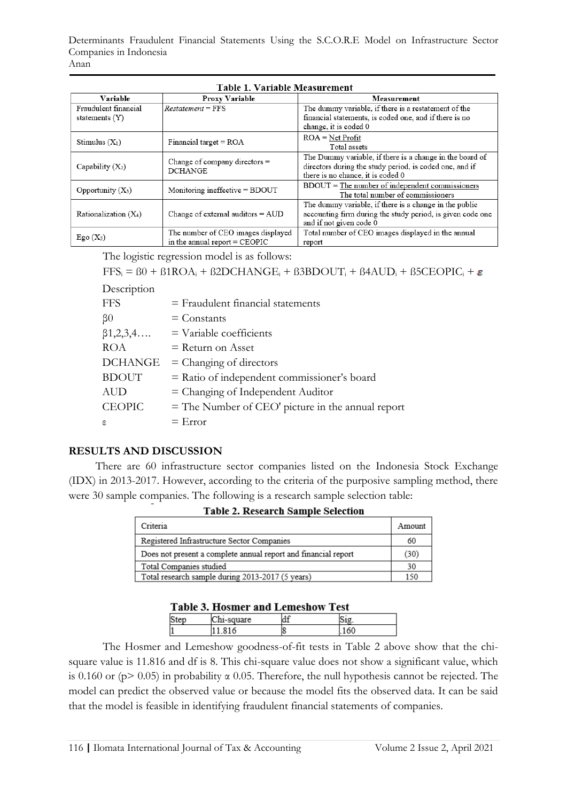| Variable                                 | <b>Proxy Variable</b>                                                 | Measurement                                                                                                                                              |
|------------------------------------------|-----------------------------------------------------------------------|----------------------------------------------------------------------------------------------------------------------------------------------------------|
| Fraudulent financial<br>statements $(Y)$ | $Restatement = FFS$                                                   | The dummy variable, if there is a restatement of the<br>financial statements, is coded one, and if there is no                                           |
|                                          |                                                                       | change, it is coded 0                                                                                                                                    |
| Stimulus $(X_1)$                         | Financial target = $ROA$                                              | $ROA = Net Profit$<br>Total assets                                                                                                                       |
| Capability $(X_2)$                       | Change of company directors $=$<br><b>DCHANGE</b>                     | The Dummy variable, if there is a change in the board of<br>directors during the study period, is coded one, and if<br>there is no chance, it is coded 0 |
| Opportunity $(X_3)$                      | Monitoring ineffective = BDOUT                                        | $BDOUT = The number of independent commissions$<br>The total number of commissioners                                                                     |
| Rationalization $(X_4)$                  | Change of external auditors $=$ AUD                                   | The dummy variable, if there is a change in the public<br>accounting firm during the study period, is given code one<br>and if not given code 0          |
| Ego $(X_5)$                              | The number of CEO images displayed<br>in the annual report $=$ CEOPIC | Total number of CEO images displayed in the annual<br>report                                                                                             |

The logistic regression model is as follows:

```
FFS_i = B0 + B1ROA_i + B2DCHANGE_i + B3BDOUT_i + B4AUD_i + B5CEOPIC_i + \varepsilon
```
### Description

| <b>FFS</b>           | $=$ Fraudulent financial statements                 |
|----------------------|-----------------------------------------------------|
| $\beta$ <sup>0</sup> | $=$ Constants                                       |
| $\beta$ 1,2,3,4      | $=$ Variable coefficients                           |
| <b>ROA</b>           | $=$ Return on Asset                                 |
| <b>DCHANGE</b>       | $=$ Changing of directors                           |
| <b>BDOUT</b>         | = Ratio of independent commissioner's board         |
| AUD                  | $=$ Changing of Independent Auditor                 |
| <b>CEOPIC</b>        | $=$ The Number of CEO' picture in the annual report |
| ε                    | $=$ Error                                           |

# **RESULTS AND DISCUSSION**

There are 60 infrastructure sector companies listed on the Indonesia Stock Exchange (IDX) in 2013-2017. However, according to the criteria of the purposive sampling method, there were 30 sample companies. The following is a research sample selection table:

| Criteria                                                       | Amount |
|----------------------------------------------------------------|--------|
| Registered Infrastructure Sector Companies                     | 60     |
| Does not present a complete annual report and financial report | (30)   |
| Total Companies studied                                        | 30     |
| Total research sample during 2013-2017 (5 years)               | 150    |

|  | <b>Table 2. Research Sample Selection</b> |  |
|--|-------------------------------------------|--|
|  |                                           |  |

|  | <b>Table 3. Hosmer and Lemeshow Test</b> |  |
|--|------------------------------------------|--|
|  |                                          |  |

The Hosmer and Lemeshow goodness-of-fit tests in Table 2 above show that the chisquare value is 11.816 and df is 8. This chi-square value does not show a significant value, which is 0.160 or ( $p$  > 0.05) in probability  $\alpha$  0.05. Therefore, the null hypothesis cannot be rejected. The model can predict the observed value or because the model fits the observed data. It can be said that the model is feasible in identifying fraudulent financial statements of companies.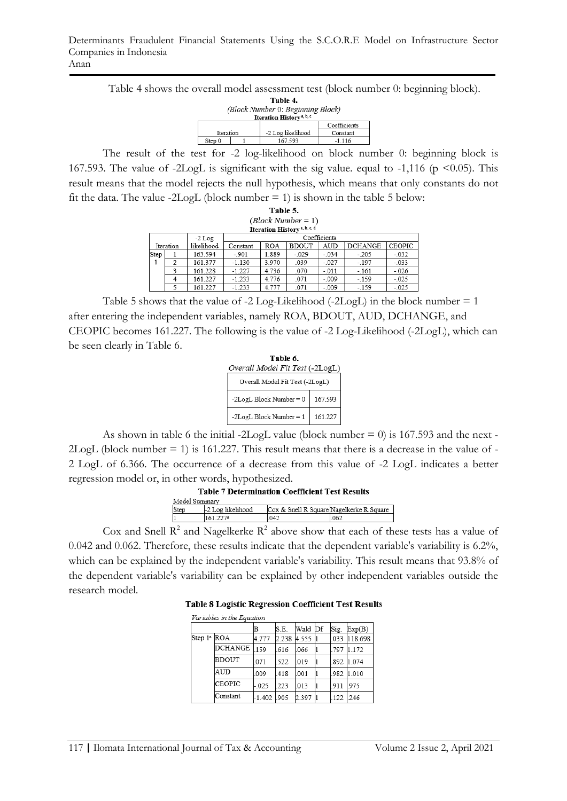Table 4 shows the overall model assessment test (block number 0: beginning block).<br>
Table 4.

| (Бюск митоег v. Бединиц Бюск)        |  |                   |          |  |  |  |
|--------------------------------------|--|-------------------|----------|--|--|--|
| Iteration History <sup>a, b, c</sup> |  |                   |          |  |  |  |
| Coefficients                         |  |                   |          |  |  |  |
| Iteration                            |  | -2 Log likelihood | Constant |  |  |  |
| Step 0                               |  | 167 593           | $-1116$  |  |  |  |

The result of the test for -2 log-likelihood on block number 0: beginning block is 167.593. The value of -2LogL is significant with the sig value. equal to -1,116 ( $p \le 0.05$ ). This result means that the model rejects the null hypothesis, which means that only constants do not fit the data. The value -2LogL (block number  $= 1$ ) is shown in the table 5 below:

|                                 | Table 5. |          |          |            |                                         |              |                |               |
|---------------------------------|----------|----------|----------|------------|-----------------------------------------|--------------|----------------|---------------|
| $\left( Block\,Number=1\right)$ |          |          |          |            |                                         |              |                |               |
|                                 |          |          |          |            | Iteration History <sup>a, b, c, d</sup> |              |                |               |
|                                 |          | $-2$ Log |          |            |                                         | Coefficients |                |               |
| likelihood<br>Iteration         |          |          | Constant | <b>ROA</b> | <b>BDOUT</b>                            | AUD          | <b>DCHANGE</b> | <b>CEOPIC</b> |
| Step                            |          | 163.594  | $-.901$  | 1.889      | $-029$                                  | $-.034$      | $-.205$        | $-.032$       |
| 1                               | 2        | 161.377  | $-1.130$ | 3.970      | .039                                    | $-.027$      | $-.197$        | $-.033$       |
|                                 | ٩        | 161.228  | $-1.227$ | 4.736      | .070                                    | $-.011$      | $-.161$        | $-.026$       |
|                                 |          | 161.227  | $-1.233$ | 4.776      | .071                                    | $-.009$      | $-159$         | $-025$        |
|                                 |          | 161.227  | $-1.233$ | 4.777      | .071                                    | $-.009$      | $-.159$        | $-.025$       |

Table 5 shows that the value of  $-2$  Log-Likelihood  $(-2$ LogL) in the block number  $= 1$ after entering the independent variables, namely ROA, BDOUT, AUD, DCHANGE, and CEOPIC becomes 161.227. The following is the value of -2 Log-Likelihood (-2LogL), which can be seen clearly in Table 6.

| Table 6.                        |         |  |  |  |  |  |
|---------------------------------|---------|--|--|--|--|--|
| Overall Model Fit Test (-2LogL) |         |  |  |  |  |  |
| Overall Model Fit Test (-2LogL) |         |  |  |  |  |  |
| -2LogL Block Number = 0         | 167.593 |  |  |  |  |  |
| -2LogL Block Number = 1         | 161.227 |  |  |  |  |  |

As shown in table 6 the initial -2LogL value (block number  $= 0$ ) is 167.593 and the next -2LogL (block number = 1) is 161.227. This result means that there is a decrease in the value of - 2 LogL of 6.366. The occurrence of a decrease from this value of -2 LogL indicates a better regression model or, in other words, hypothesized.

| Model Summary |                   |                                          |     |  |  |  |
|---------------|-------------------|------------------------------------------|-----|--|--|--|
| Step          | -2 Log likelihood | Cox & Snell R Square Nagelkerke R Square |     |  |  |  |
|               | 161.227ª          | 042                                      | 062 |  |  |  |

Cox and Snell  $\mathbb{R}^2$  and Nagelkerke  $\mathbb{R}^2$  above show that each of these tests has a value of 0.042 and 0.062. Therefore, these results indicate that the dependent variable's variability is 6.2%, which can be explained by the independent variable's variability. This result means that 93.8% of the dependent variable's variability can be explained by other independent variables outside the research model.

**Table 8 Logistic Regression Coefficient Test Results** 

| Variables in the Equation |  |
|---------------------------|--|
|                           |  |

| $\sim$ 000 $\sim$ 000 $\sim$ 000 $\sim$ 000 $\sim$ 000 $\sim$ 000 $\sim$ 000 $\sim$ 000 $\sim$ 000 $\sim$ 000 $\sim$ 000 $\sim$ 000 $\sim$ 000 $\sim$ 000 $\sim$ 000 $\sim$ 000 $\sim$ 000 $\sim$ 000 $\sim$ 000 $\sim$ 000 $\sim$ 000 $\sim$ 000 $\sim$ 000 $\sim$ 000 $\sim$ |                |             |       |             |    |      |         |  |
|--------------------------------------------------------------------------------------------------------------------------------------------------------------------------------------------------------------------------------------------------------------------------------|----------------|-------------|-------|-------------|----|------|---------|--|
|                                                                                                                                                                                                                                                                                |                | в           | S.E.  | Wald        | Df | Sig. | Exp(B)  |  |
| Step 1ª ROA                                                                                                                                                                                                                                                                    |                | 4.777       | 2.238 | 4.555 1     |    | .033 | 118.698 |  |
|                                                                                                                                                                                                                                                                                | <b>DCHANGE</b> | 159         | .616  | .066        |    | .797 | 1.172   |  |
| <b>BDOUT</b>                                                                                                                                                                                                                                                                   |                | .071        | .522  | 019         |    | .892 | 1.074   |  |
|                                                                                                                                                                                                                                                                                | AUD            | .009        | .418  | .001        |    | .982 | 1.010   |  |
|                                                                                                                                                                                                                                                                                | <b>CEOPIC</b>  | $-0.025$    | 223   | <b>LO13</b> |    | 911  | 975     |  |
|                                                                                                                                                                                                                                                                                | Constant       | -1.402 .905 |       | 2.397       |    | 122  | 246     |  |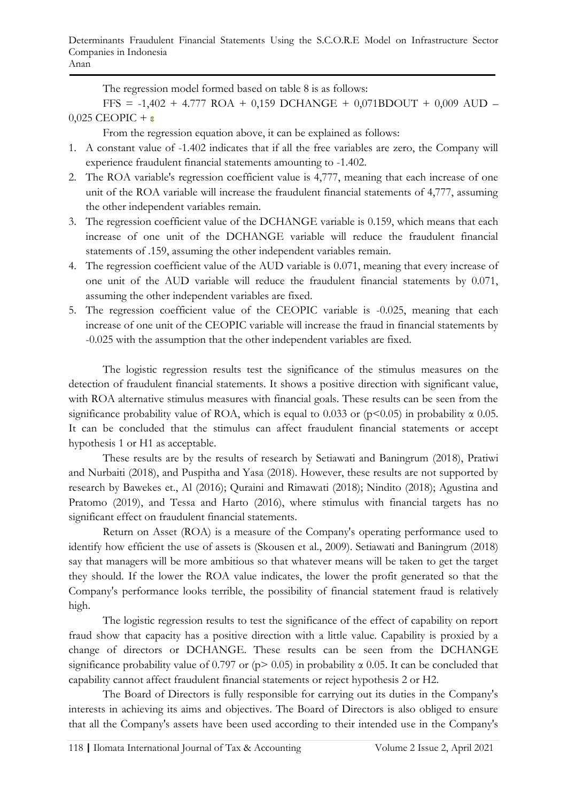The regression model formed based on table 8 is as follows:

FFS = -1,402 + 4.777 ROA + 0,159 DCHANGE + 0,071BDOUT + 0,009 AUD –  $0,025$  CEOPIC + ε

From the regression equation above, it can be explained as follows:

- 1. A constant value of -1.402 indicates that if all the free variables are zero, the Company will experience fraudulent financial statements amounting to -1.402.
- 2. The ROA variable's regression coefficient value is 4,777, meaning that each increase of one unit of the ROA variable will increase the fraudulent financial statements of 4,777, assuming the other independent variables remain.
- 3. The regression coefficient value of the DCHANGE variable is 0.159, which means that each increase of one unit of the DCHANGE variable will reduce the fraudulent financial statements of .159, assuming the other independent variables remain.
- 4. The regression coefficient value of the AUD variable is 0.071, meaning that every increase of one unit of the AUD variable will reduce the fraudulent financial statements by 0.071, assuming the other independent variables are fixed.
- 5. The regression coefficient value of the CEOPIC variable is -0.025, meaning that each increase of one unit of the CEOPIC variable will increase the fraud in financial statements by -0.025 with the assumption that the other independent variables are fixed.

The logistic regression results test the significance of the stimulus measures on the detection of fraudulent financial statements. It shows a positive direction with significant value, with ROA alternative stimulus measures with financial goals. These results can be seen from the significance probability value of ROA, which is equal to 0.033 or ( $p<0.05$ ) in probability  $\alpha$  0.05. It can be concluded that the stimulus can affect fraudulent financial statements or accept hypothesis 1 or H1 as acceptable.

These results are by the results of research by Setiawati and Baningrum (2018), Pratiwi and Nurbaiti (2018), and Puspitha and Yasa (2018). However, these results are not supported by research by Bawekes et., Al (2016); Quraini and Rimawati (2018); Nindito (2018); Agustina and Pratomo (2019), and Tessa and Harto (2016), where stimulus with financial targets has no significant effect on fraudulent financial statements.

Return on Asset (ROA) is a measure of the Company's operating performance used to identify how efficient the use of assets is (Skousen et al., 2009). Setiawati and Baningrum (2018) say that managers will be more ambitious so that whatever means will be taken to get the target they should. If the lower the ROA value indicates, the lower the profit generated so that the Company's performance looks terrible, the possibility of financial statement fraud is relatively high.

The logistic regression results to test the significance of the effect of capability on report fraud show that capacity has a positive direction with a little value. Capability is proxied by a change of directors or DCHANGE. These results can be seen from the DCHANGE significance probability value of 0.797 or ( $p > 0.05$ ) in probability  $\alpha$  0.05. It can be concluded that capability cannot affect fraudulent financial statements or reject hypothesis 2 or H2.

The Board of Directors is fully responsible for carrying out its duties in the Company's interests in achieving its aims and objectives. The Board of Directors is also obliged to ensure that all the Company's assets have been used according to their intended use in the Company's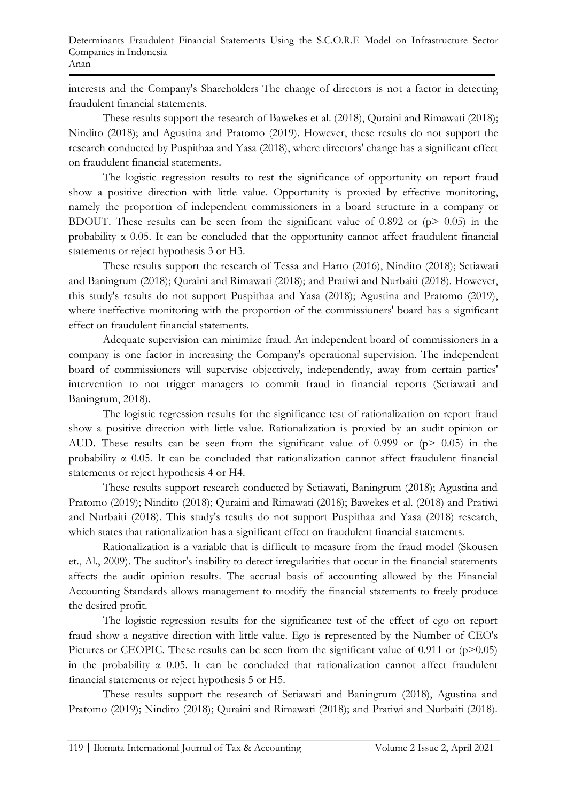interests and the Company's Shareholders The change of directors is not a factor in detecting fraudulent financial statements.

These results support the research of Bawekes et al. (2018), Quraini and Rimawati (2018); Nindito (2018); and Agustina and Pratomo (2019). However, these results do not support the research conducted by Puspithaa and Yasa (2018), where directors' change has a significant effect on fraudulent financial statements.

The logistic regression results to test the significance of opportunity on report fraud show a positive direction with little value. Opportunity is proxied by effective monitoring, namely the proportion of independent commissioners in a board structure in a company or BDOUT. These results can be seen from the significant value of  $0.892$  or ( $p$   $> 0.05$ ) in the probability  $\alpha$  0.05. It can be concluded that the opportunity cannot affect fraudulent financial statements or reject hypothesis 3 or H3.

These results support the research of Tessa and Harto (2016), Nindito (2018); Setiawati and Baningrum (2018); Quraini and Rimawati (2018); and Pratiwi and Nurbaiti (2018). However, this study's results do not support Puspithaa and Yasa (2018); Agustina and Pratomo (2019), where ineffective monitoring with the proportion of the commissioners' board has a significant effect on fraudulent financial statements.

Adequate supervision can minimize fraud. An independent board of commissioners in a company is one factor in increasing the Company's operational supervision. The independent board of commissioners will supervise objectively, independently, away from certain parties' intervention to not trigger managers to commit fraud in financial reports (Setiawati and Baningrum, 2018).

The logistic regression results for the significance test of rationalization on report fraud show a positive direction with little value. Rationalization is proxied by an audit opinion or AUD. These results can be seen from the significant value of 0.999 or  $(p > 0.05)$  in the probability α 0.05. It can be concluded that rationalization cannot affect fraudulent financial statements or reject hypothesis 4 or H4.

These results support research conducted by Setiawati, Baningrum (2018); Agustina and Pratomo (2019); Nindito (2018); Quraini and Rimawati (2018); Bawekes et al. (2018) and Pratiwi and Nurbaiti (2018). This study's results do not support Puspithaa and Yasa (2018) research, which states that rationalization has a significant effect on fraudulent financial statements.

Rationalization is a variable that is difficult to measure from the fraud model (Skousen et., Al., 2009). The auditor's inability to detect irregularities that occur in the financial statements affects the audit opinion results. The accrual basis of accounting allowed by the Financial Accounting Standards allows management to modify the financial statements to freely produce the desired profit.

The logistic regression results for the significance test of the effect of ego on report fraud show a negative direction with little value. Ego is represented by the Number of CEO's Pictures or CEOPIC. These results can be seen from the significant value of  $0.911$  or  $(p>0.05)$ in the probability  $\alpha$  0.05. It can be concluded that rationalization cannot affect fraudulent financial statements or reject hypothesis 5 or H5.

These results support the research of Setiawati and Baningrum (2018), Agustina and Pratomo (2019); Nindito (2018); Quraini and Rimawati (2018); and Pratiwi and Nurbaiti (2018).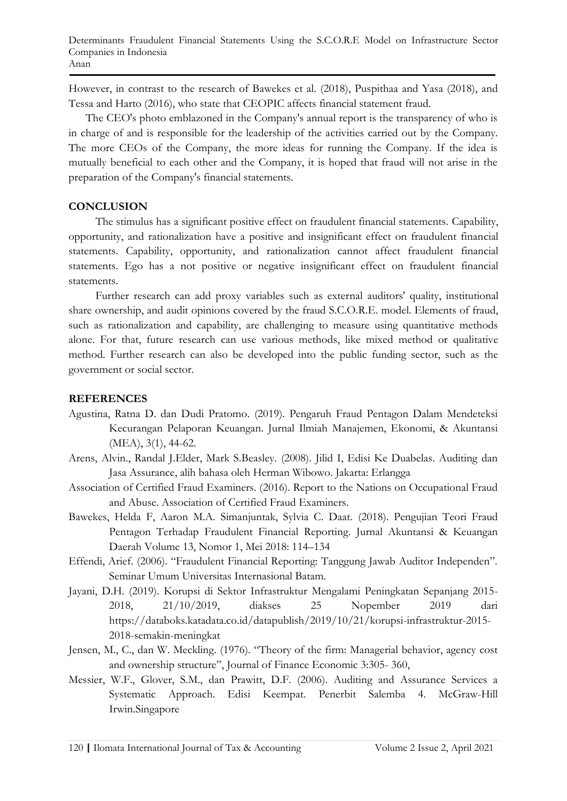However, in contrast to the research of Bawekes et al. (2018), Puspithaa and Yasa (2018), and Tessa and Harto (2016), who state that CEOPIC affects financial statement fraud.

The CEO's photo emblazoned in the Company's annual report is the transparency of who is in charge of and is responsible for the leadership of the activities carried out by the Company. The more CEOs of the Company, the more ideas for running the Company. If the idea is mutually beneficial to each other and the Company, it is hoped that fraud will not arise in the preparation of the Company's financial statements.

# **CONCLUSION**

The stimulus has a significant positive effect on fraudulent financial statements. Capability, opportunity, and rationalization have a positive and insignificant effect on fraudulent financial statements. Capability, opportunity, and rationalization cannot affect fraudulent financial statements. Ego has a not positive or negative insignificant effect on fraudulent financial statements.

Further research can add proxy variables such as external auditors' quality, institutional share ownership, and audit opinions covered by the fraud S.C.O.R.E. model. Elements of fraud, such as rationalization and capability, are challenging to measure using quantitative methods alone. For that, future research can use various methods, like mixed method or qualitative method. Further research can also be developed into the public funding sector, such as the government or social sector.

# **REFERENCES**

- Agustina, Ratna D. dan Dudi Pratomo. (2019). Pengaruh Fraud Pentagon Dalam Mendeteksi Kecurangan Pelaporan Keuangan. Jurnal Ilmiah Manajemen, Ekonomi, & Akuntansi (MEA), 3(1), 44-62.
- Arens, Alvin., Randal J.Elder, Mark S.Beasley. (2008). Jilid I, Edisi Ke Duabelas. Auditing dan Jasa Assurance, alih bahasa oleh Herman Wibowo. Jakarta: Erlangga
- Association of Certified Fraud Examiners. (2016). Report to the Nations on Occupational Fraud and Abuse. Association of Certified Fraud Examiners.
- Bawekes, Helda F, Aaron M.A. Simanjuntak, Sylvia C. Daat. (2018). Pengujian Teori Fraud Pentagon Terhadap Fraudulent Financial Reporting. Jurnal Akuntansi & Keuangan Daerah Volume 13, Nomor 1, Mei 2018: 114–134
- Effendi, Arief. (2006). "Fraudulent Financial Reporting: Tanggung Jawab Auditor Independen". Seminar Umum Universitas Internasional Batam.
- Jayani, D.H. (2019). Korupsi di Sektor Infrastruktur Mengalami Peningkatan Sepanjang 2015- 2018, 21/10/2019, diakses 25 Nopember 2019 dari https://databoks.katadata.co.id/datapublish/2019/10/21/korupsi-infrastruktur-2015- 2018-semakin-meningkat
- Jensen, M., C., dan W. Meckling. (1976). "Theory of the firm: Managerial behavior, agency cost and ownership structure", Journal of Finance Economic 3:305- 360,
- Messier, W.F., Glover, S.M., dan Prawitt, D.F. (2006). Auditing and Assurance Services a Systematic Approach. Edisi Keempat. Penerbit Salemba 4. McGraw-Hill Irwin.Singapore